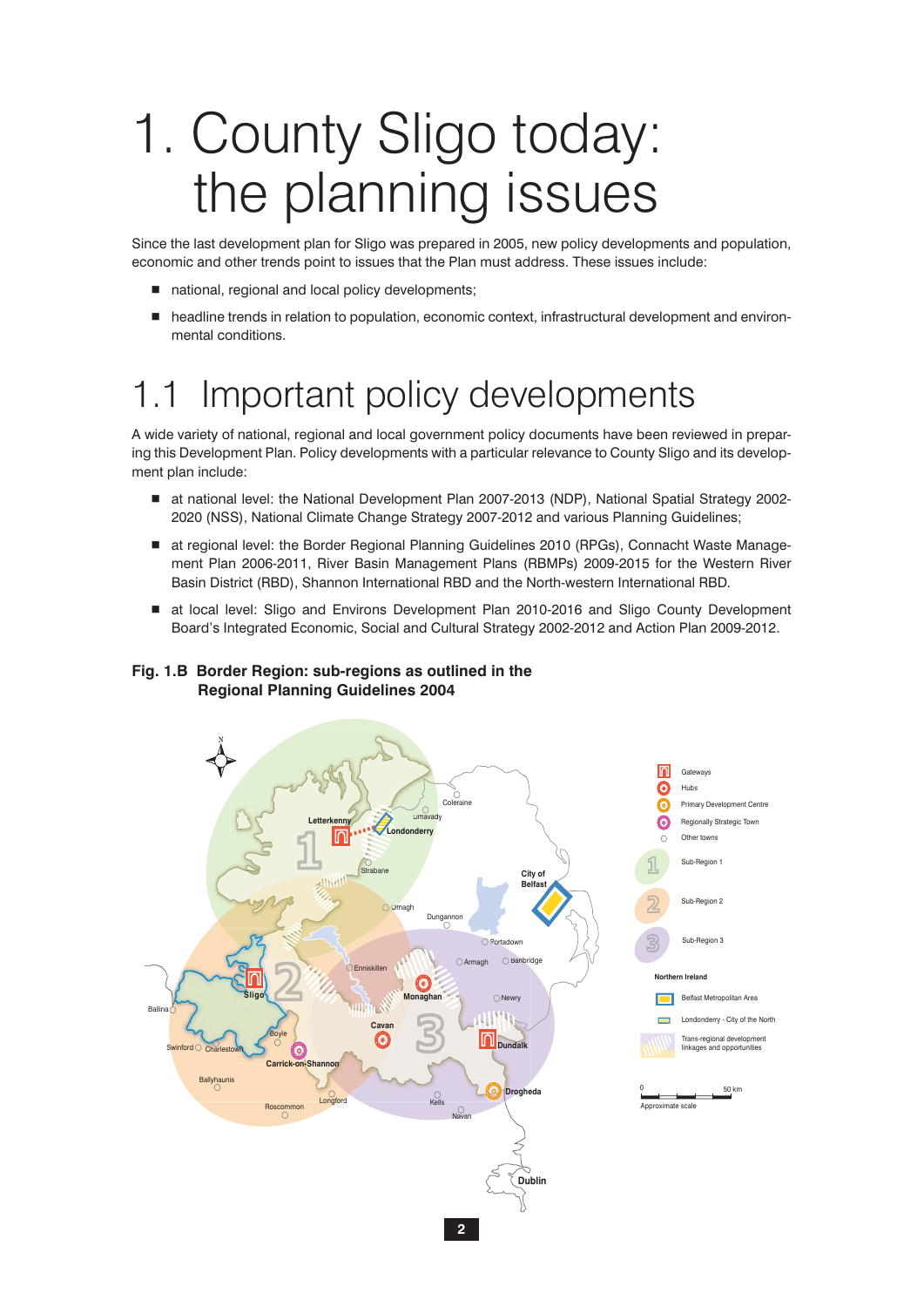# 1. County Sligo today: the planning issues

Since the last development plan for Sligo was prepared in 2005, new policy developments and population, economic and other trends point to issues that the Plan must address. These issues include:

- national, regional and local policy developments;
- headline trends in relation to population, economic context, infrastructural development and environmental conditions.

# 1.1 Important policy developments

A wide variety of national, regional and local government policy documents have been reviewed in preparing this Development Plan. Policy developments with a particular relevance to County Sligo and its development plan include:

- at national level: the National Development Plan 2007-2013 (NDP), National Spatial Strategy 2002-2020 (NSS), National Climate Change Strategy 2007-2012 and various Planning Guidelines;
- at regional level: the Border Regional Planning Guidelines 2010 (RPGs), Connacht Waste Management Plan 2006-2011, River Basin Management Plans (RBMPs) 2009-2015 for the Western River Basin District (RBD), Shannon International RBD and the North-western International RBD.
- at local level: Sligo and Environs Development Plan 2010-2016 and Sligo County Development Board's Integrated Economic, Social and Cultural Strategy 2002-2012 and Action Plan 2009-2012.

## **Fig. 1.B Border Region: sub-regions as outlined in the Regional Planning Guidelines 2004**

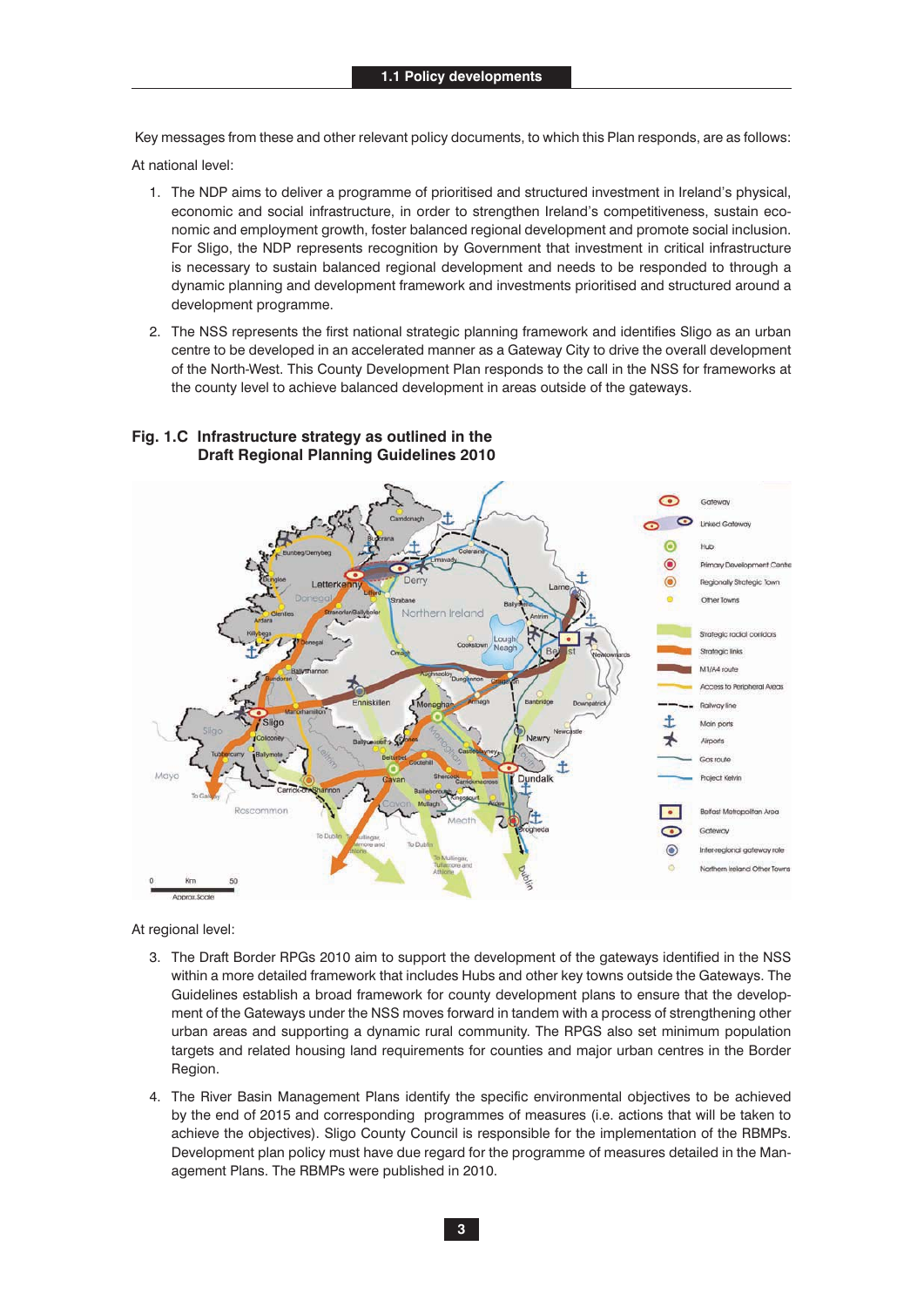Key messages from these and other relevant policy documents, to which this Plan responds, are as follows:

At national level:

- 1. The NDP aims to deliver a programme of prioritised and structured investment in Ireland's physical, economic and social infrastructure, in order to strengthen Ireland's competitiveness, sustain economic and employment growth, foster balanced regional development and promote social inclusion. For Sligo, the NDP represents recognition by Government that investment in critical infrastructure is necessary to sustain balanced regional development and needs to be responded to through a dynamic planning and development framework and investments prioritised and structured around a development programme.
- 2. The NSS represents the first national strategic planning framework and identifies Sligo as an urban centre to be developed in an accelerated manner as a Gateway City to drive the overall development of the North-West. This County Development Plan responds to the call in the NSS for frameworks at the county level to achieve balanced development in areas outside of the gateways.



### **Fig. 1.C Infrastructure strategy as outlined in the Draft Regional Planning Guidelines 2010**

At regional level:

- 3. The Draft Border RPGs 2010 aim to support the development of the gateways identified in the NSS within a more detailed framework that includes Hubs and other key towns outside the Gateways. The Guidelines establish a broad framework for county development plans to ensure that the development of the Gateways under the NSS moves forward in tandem with a process of strengthening other urban areas and supporting a dynamic rural community. The RPGS also set minimum population targets and related housing land requirements for counties and major urban centres in the Border Region.
- 4. The River Basin Management Plans identify the specific environmental objectives to be achieved by the end of 2015 and corresponding programmes of measures (i.e. actions that will be taken to achieve the objectives). Sligo County Council is responsible for the implementation of the RBMPs. Development plan policy must have due regard for the programme of measures detailed in the Management Plans. The RBMPs were published in 2010.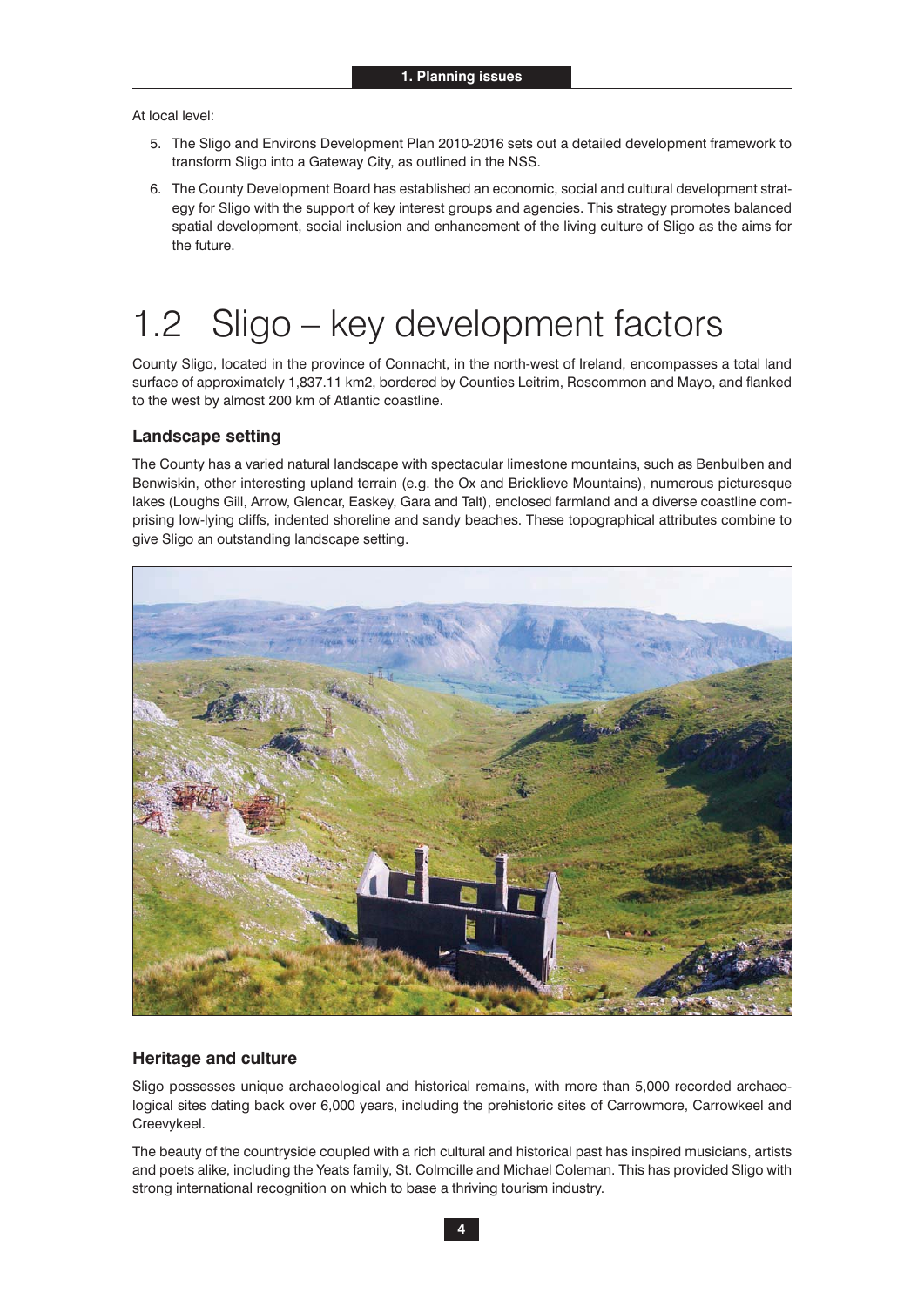At local level:

- 5. The Sligo and Environs Development Plan 2010-2016 sets out a detailed development framework to transform Sligo into a Gateway City, as outlined in the NSS.
- 6. The County Development Board has established an economic, social and cultural development strategy for Sligo with the support of key interest groups and agencies. This strategy promotes balanced spatial development, social inclusion and enhancement of the living culture of Sligo as the aims for the future.

# 1.2 Sligo – key development factors

County Sligo, located in the province of Connacht, in the north-west of Ireland, encompasses a total land surface of approximately 1,837.11 km2, bordered by Counties Leitrim, Roscommon and Mayo, and flanked to the west by almost 200 km of Atlantic coastline.

## **Landscape setting**

The County has a varied natural landscape with spectacular limestone mountains, such as Benbulben and Benwiskin, other interesting upland terrain (e.g. the Ox and Bricklieve Mountains), numerous picturesque lakes (Loughs Gill, Arrow, Glencar, Easkey, Gara and Talt), enclosed farmland and a diverse coastline comprising low-lying cliffs, indented shoreline and sandy beaches. These topographical attributes combine to give Sligo an outstanding landscape setting.



### **Heritage and culture**

Sligo possesses unique archaeological and historical remains, with more than 5,000 recorded archaeological sites dating back over 6,000 years, including the prehistoric sites of Carrowmore, Carrowkeel and Creevykeel.

The beauty of the countryside coupled with a rich cultural and historical past has inspired musicians, artists and poets alike, including the Yeats family, St. Colmcille and Michael Coleman. This has provided Sligo with strong international recognition on which to base a thriving tourism industry.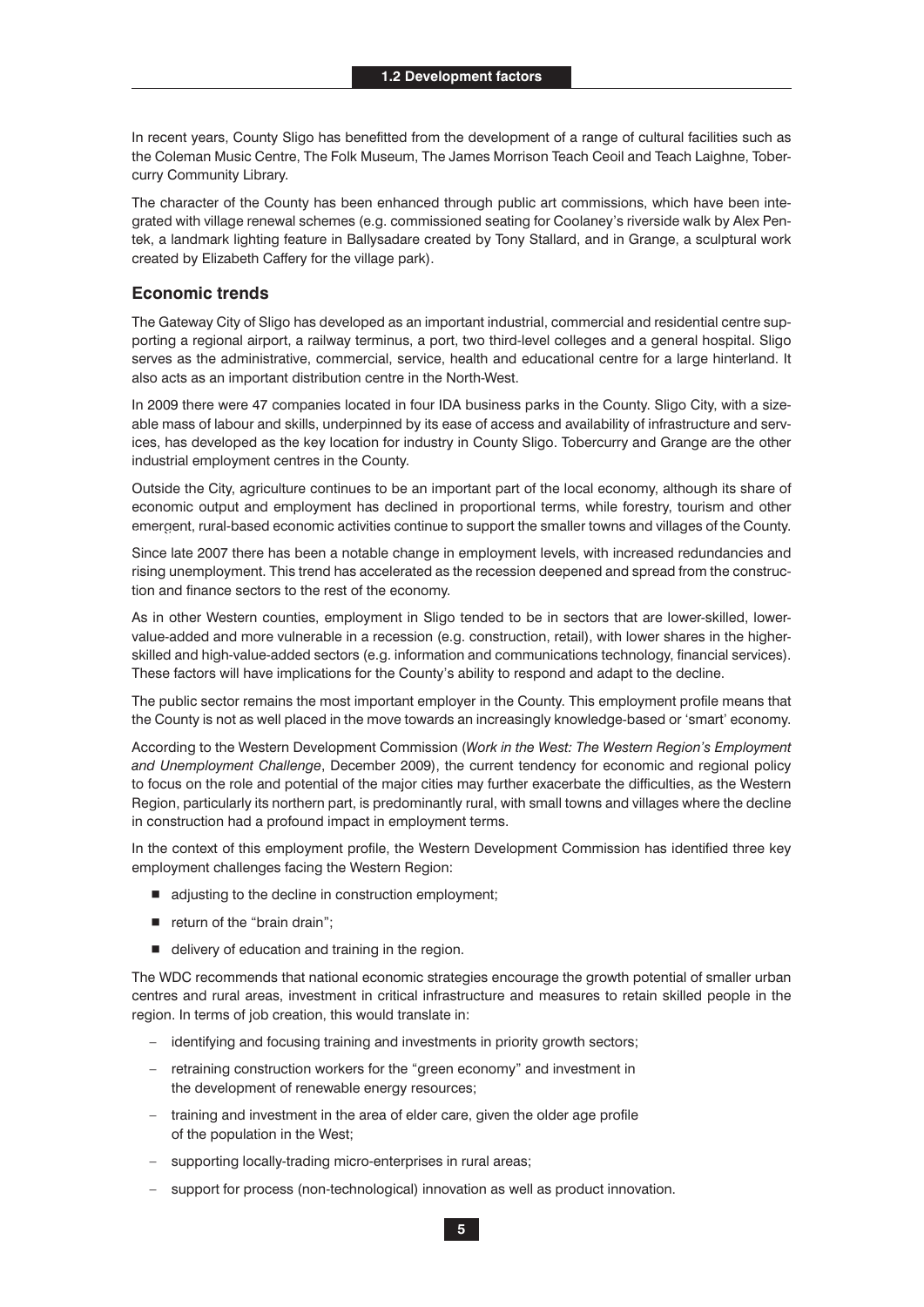In recent years, County Sligo has benefitted from the development of a range of cultural facilities such as the Coleman Music Centre, The Folk Museum, The James Morrison Teach Ceoil and Teach Laighne, Tobercurry Community Library.

The character of the County has been enhanced through public art commissions, which have been integrated with village renewal schemes (e.g. commissioned seating for Coolaney's riverside walk by Alex Pentek, a landmark lighting feature in Ballysadare created by Tony Stallard, and in Grange, a sculptural work created by Elizabeth Caffery for the village park).

#### **Economic trends**

The Gateway City of Sligo has developed as an important industrial, commercial and residential centre supporting a regional airport, a railway terminus, a port, two third-level colleges and a general hospital. Sligo serves as the administrative, commercial, service, health and educational centre for a large hinterland. It also acts as an important distribution centre in the North-West.

In 2009 there were 47 companies located in four IDA business parks in the County. Sligo City, with a sizeable mass of labour and skills, underpinned by its ease of access and availability of infrastructure and services, has developed as the key location for industry in County Sligo. Tobercurry and Grange are the other industrial employment centres in the County.

Outside the City, agriculture continues to be an important part of the local economy, although its share of economic output and employment has declined in proportional terms, while forestry, tourism and other emergent, rural-based economic activities continue to support the smaller towns and villages of the County. **1.1 Policy developments**

> Since late 2007 there has been a notable change in employment levels, with increased redundancies and rising unemployment. This trend has accelerated as the recession deepened and spread from the construction and finance sectors to the rest of the economy.

> As in other Western counties, employment in Sligo tended to be in sectors that are lower-skilled, lowervalue-added and more vulnerable in a recession (e.g. construction, retail), with lower shares in the higherskilled and high-value-added sectors (e.g. information and communications technology, financial services). These factors will have implications for the County's ability to respond and adapt to the decline.

> The public sector remains the most important employer in the County. This employment profile means that the County is not as well placed in the move towards an increasingly knowledge-based or 'smart' economy.

> According to the Western Development Commission (*Work in the West: The Western Region's Employment and Unemployment Challenge*, December 2009), the current tendency for economic and regional policy to focus on the role and potential of the major cities may further exacerbate the difficulties, as the Western Region, particularly its northern part, is predominantly rural, with small towns and villages where the decline in construction had a profound impact in employment terms.

> In the context of this employment profile, the Western Development Commission has identified three key employment challenges facing the Western Region:

- adjusting to the decline in construction employment;
- return of the "brain drain";
- $\blacksquare$  delivery of education and training in the region.

The WDC recommends that national economic strategies encourage the growth potential of smaller urban centres and rural areas, investment in critical infrastructure and measures to retain skilled people in the region. In terms of job creation, this would translate in:

- identifying and focusing training and investments in priority growth sectors;
- retraining construction workers for the "green economy" and investment in the development of renewable energy resources;
- training and investment in the area of elder care, given the older age profile of the population in the West;
- supporting locally-trading micro-enterprises in rural areas;
- support for process (non-technological) innovation as well as product innovation.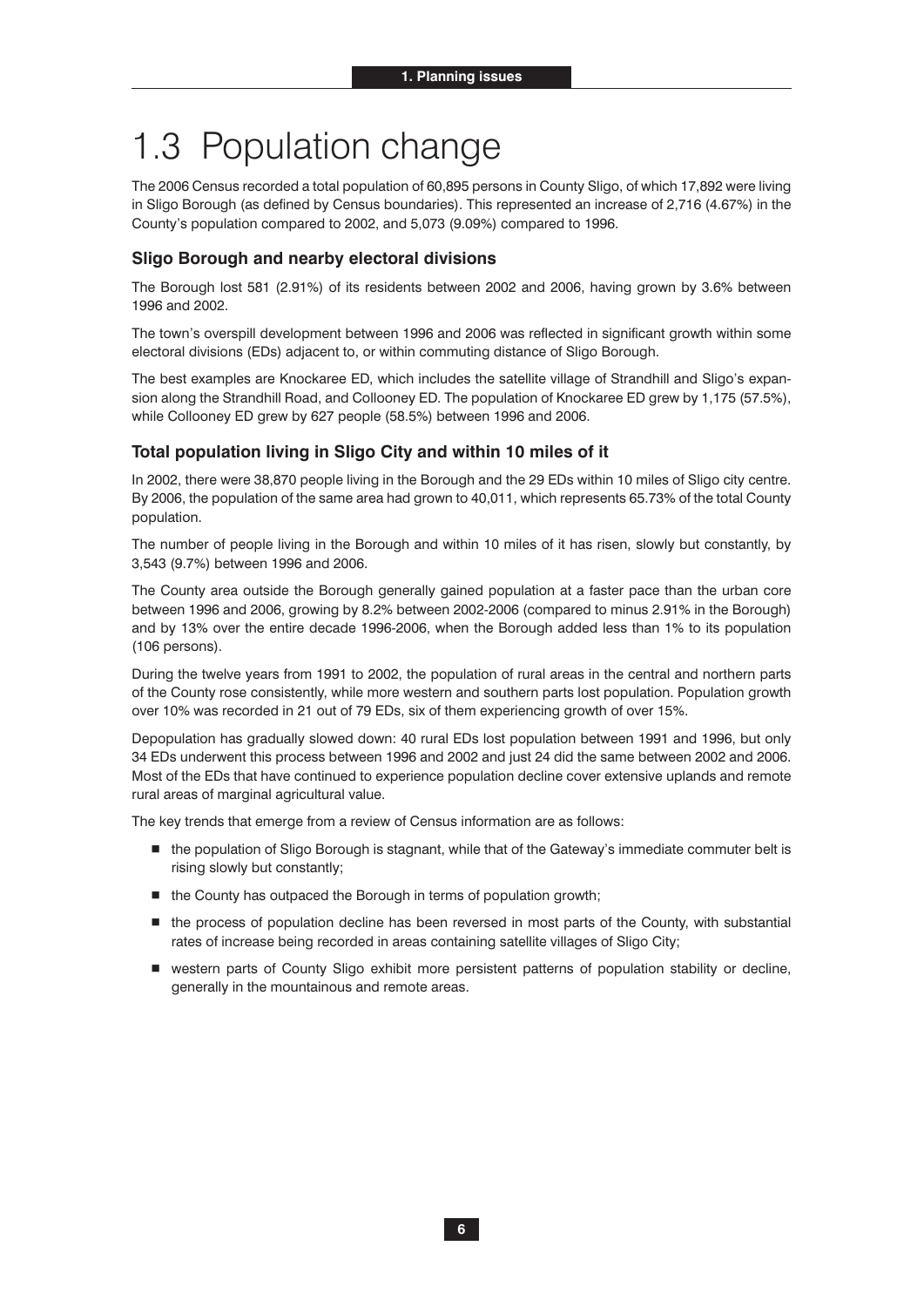# 1.3 Population change

The 2006 Census recorded a total population of 60,895 persons in County Sligo, of which 17,892 were living in Sligo Borough (as defined by Census boundaries). This represented an increase of 2,716 (4.67%) in the County's population compared to 2002, and 5,073 (9.09%) compared to 1996.

### **Sligo Borough and nearby electoral divisions**

The Borough lost 581 (2.91%) of its residents between 2002 and 2006, having grown by 3.6% between 1996 and 2002.

The town's overspill development between 1996 and 2006 was reflected in significant growth within some electoral divisions (EDs) adjacent to, or within commuting distance of Sligo Borough.

The best examples are Knockaree ED, which includes the satellite village of Strandhill and Sligo's expansion along the Strandhill Road, and Collooney ED. The population of Knockaree ED grew by 1,175 (57.5%), while Collooney ED grew by 627 people (58.5%) between 1996 and 2006.

#### **Total population living in Sligo City and within 10 miles of it**

In 2002, there were 38,870 people living in the Borough and the 29 EDs within 10 miles of Sligo city centre. By 2006, the population of the same area had grown to 40,011, which represents 65.73% of the total County population.

The number of people living in the Borough and within 10 miles of it has risen, slowly but constantly, by 3,543 (9.7%) between 1996 and 2006.

The County area outside the Borough generally gained population at a faster pace than the urban core between 1996 and 2006, growing by 8.2% between 2002-2006 (compared to minus 2.91% in the Borough) and by 13% over the entire decade 1996-2006, when the Borough added less than 1% to its population (106 persons).

During the twelve years from 1991 to 2002, the population of rural areas in the central and northern parts of the County rose consistently, while more western and southern parts lost population. Population growth over 10% was recorded in 21 out of 79 EDs, six of them experiencing growth of over 15%.

Depopulation has gradually slowed down: 40 rural EDs lost population between 1991 and 1996, but only 34 EDs underwent this process between 1996 and 2002 and just 24 did the same between 2002 and 2006. Most of the EDs that have continued to experience population decline cover extensive uplands and remote rural areas of marginal agricultural value.

The key trends that emerge from a review of Census information are as follows:

- the population of Sligo Borough is stagnant, while that of the Gateway's immediate commuter belt is rising slowly but constantly;
- the County has outpaced the Borough in terms of population growth;
- $\blacksquare$  the process of population decline has been reversed in most parts of the County, with substantial rates of increase being recorded in areas containing satellite villages of Sligo City;
- western parts of County Sligo exhibit more persistent patterns of population stability or decline, generally in the mountainous and remote areas.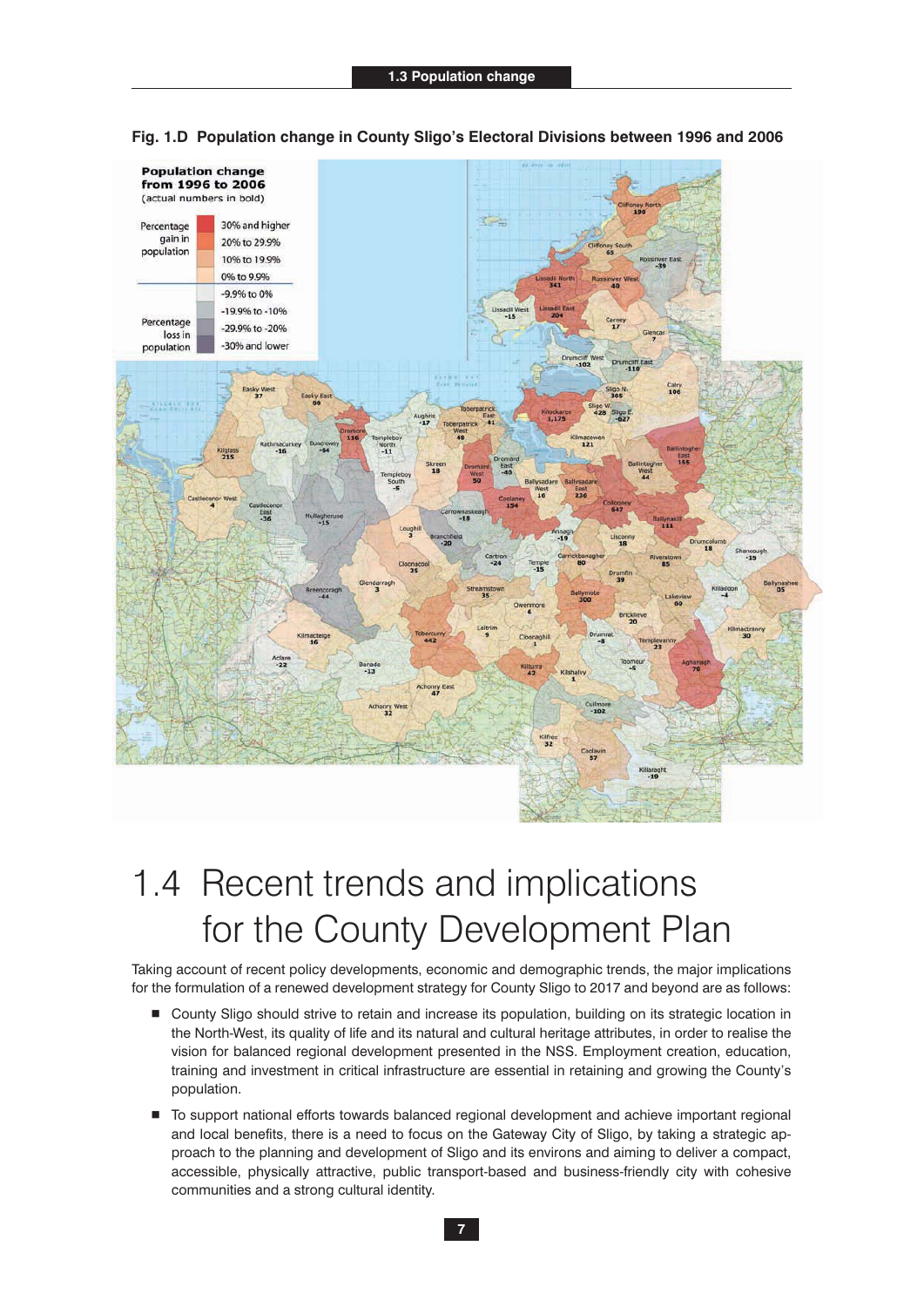

**Fig. 1.D Population change in County Sligo's Electoral Divisions between 1996 and 2006**

# 1.4 Recent trends and implications for the County Development Plan

Taking account of recent policy developments, economic and demographic trends, the major implications for the formulation of a renewed development strategy for County Sligo to 2017 and beyond are as follows:

- County Sligo should strive to retain and increase its population, building on its strategic location in the North-West, its quality of life and its natural and cultural heritage attributes, in order to realise the vision for balanced regional development presented in the NSS. Employment creation, education, training and investment in critical infrastructure are essential in retaining and growing the County's population.
- $\blacksquare$  To support national efforts towards balanced regional development and achieve important regional and local benefits, there is a need to focus on the Gateway City of Sligo, by taking a strategic approach to the planning and development of Sligo and its environs and aiming to deliver a compact, accessible, physically attractive, public transport-based and business-friendly city with cohesive communities and a strong cultural identity.